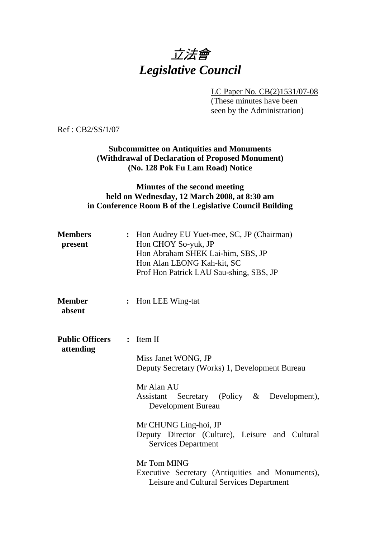# 立法會 *Legislative Council*

LC Paper No. CB(2)1531/07-08

(These minutes have been seen by the Administration)

Ref : CB2/SS/1/07

## **Subcommittee on Antiquities and Monuments (Withdrawal of Declaration of Proposed Monument) (No. 128 Pok Fu Lam Road) Notice**

## **Minutes of the second meeting held on Wednesday, 12 March 2008, at 8:30 am in Conference Room B of the Legislative Council Building**

| <b>Members</b><br>present           |                | : Hon Audrey EU Yuet-mee, SC, JP (Chairman)<br>Hon CHOY So-yuk, JP<br>Hon Abraham SHEK Lai-him, SBS, JP<br>Hon Alan LEONG Kah-kit, SC<br>Prof Hon Patrick LAU Sau-shing, SBS, JP                                                                                                                                                                              |
|-------------------------------------|----------------|---------------------------------------------------------------------------------------------------------------------------------------------------------------------------------------------------------------------------------------------------------------------------------------------------------------------------------------------------------------|
| <b>Member</b><br>absent             | $\ddot{\cdot}$ | Hon LEE Wing-tat                                                                                                                                                                                                                                                                                                                                              |
| <b>Public Officers</b><br>attending | $\ddot{\cdot}$ | Item II<br>Miss Janet WONG, JP<br>Deputy Secretary (Works) 1, Development Bureau<br>Mr Alan AU<br>Secretary (Policy &<br>Development),<br><b>Assistant</b><br>Development Bureau<br>Mr CHUNG Ling-hoi, JP<br>Deputy Director (Culture), Leisure and Cultural<br><b>Services Department</b><br>Mr Tom MING<br>Executive Secretary (Antiquities and Monuments), |
|                                     |                | Leisure and Cultural Services Department                                                                                                                                                                                                                                                                                                                      |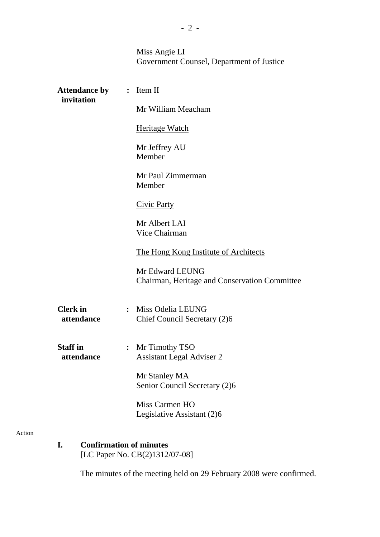Miss Angie LI Government Counsel, Department of Justice

| <b>Attendance by</b><br>invitation | $Item II$<br>$\ddot{\cdot}$                                          |  |
|------------------------------------|----------------------------------------------------------------------|--|
|                                    | Mr William Meacham                                                   |  |
|                                    | <b>Heritage Watch</b>                                                |  |
|                                    | Mr Jeffrey AU<br>Member                                              |  |
|                                    | Mr Paul Zimmerman<br>Member                                          |  |
|                                    | <b>Civic Party</b>                                                   |  |
|                                    | Mr Albert LAI<br>Vice Chairman                                       |  |
|                                    | The Hong Kong Institute of Architects                                |  |
|                                    | Mr Edward LEUNG<br>Chairman, Heritage and Conservation Committee     |  |
| <b>Clerk</b> in<br>attendance      | : Miss Odelia LEUNG<br>Chief Council Secretary (2)6                  |  |
| <b>Staff</b> in<br>attendance      | Mr Timothy TSO<br>$\ddot{\cdot}$<br><b>Assistant Legal Adviser 2</b> |  |
|                                    | Mr Stanley MA<br>Senior Council Secretary (2)6                       |  |
|                                    | Miss Carmen HO<br>Legislative Assistant (2)6                         |  |

Action

**I. Confirmation of minutes**  [LC Paper No. CB(2)1312/07-08]

The minutes of the meeting held on 29 February 2008 were confirmed.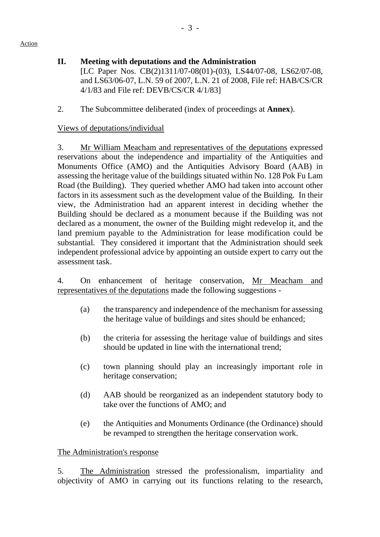# **II. Meeting with deputations and the Administration**

[LC Paper Nos. CB(2)1311/07-08(01)-(03), LS44/07-08, LS62/07-08, and LS63/06-07, L.N. 59 of 2007, L.N. 21 of 2008, File ref: HAB/CS/CR 4/1/83 and File ref: DEVB/CS/CR 4/1/83]

2. The Subcommittee deliberated (index of proceedings at **Annex**).

# Views of deputations/individual

3. Mr William Meacham and representatives of the deputations expressed reservations about the independence and impartiality of the Antiquities and Monuments Office (AMO) and the Antiquities Advisory Board (AAB) in assessing the heritage value of the buildings situated within No. 128 Pok Fu Lam Road (the Building). They queried whether AMO had taken into account other factors in its assessment such as the development value of the Building. In their view, the Administration had an apparent interest in deciding whether the Building should be declared as a monument because if the Building was not declared as a monument, the owner of the Building might redevelop it, and the land premium payable to the Administration for lease modification could be substantial. They considered it important that the Administration should seek independent professional advice by appointing an outside expert to carry out the assessment task.

4. On enhancement of heritage conservation, Mr Meacham and representatives of the deputations made the following suggestions -

- (a) the transparency and independence of the mechanism for assessing the heritage value of buildings and sites should be enhanced;
- (b) the criteria for assessing the heritage value of buildings and sites should be updated in line with the international trend;
- (c) town planning should play an increasingly important role in heritage conservation;
- (d) AAB should be reorganized as an independent statutory body to take over the functions of AMO; and
- (e) the Antiquities and Monuments Ordinance (the Ordinance) should be revamped to strengthen the heritage conservation work.

## The Administration's response

5. The Administration stressed the professionalism, impartiality and objectivity of AMO in carrying out its functions relating to the research,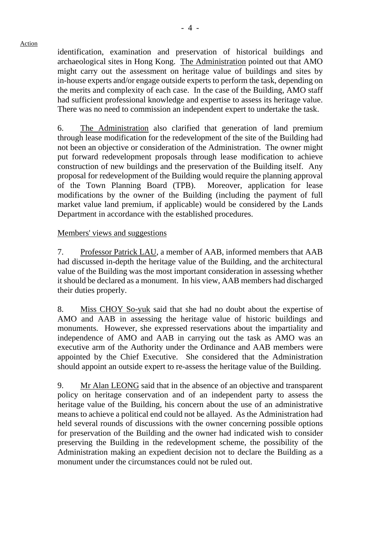Action

identification, examination and preservation of historical buildings and archaeological sites in Hong Kong. The Administration pointed out that AMO might carry out the assessment on heritage value of buildings and sites by in-house experts and/or engage outside experts to perform the task, depending on the merits and complexity of each case. In the case of the Building, AMO staff had sufficient professional knowledge and expertise to assess its heritage value. There was no need to commission an independent expert to undertake the task.

6. The Administration also clarified that generation of land premium through lease modification for the redevelopment of the site of the Building had not been an objective or consideration of the Administration. The owner might put forward redevelopment proposals through lease modification to achieve construction of new buildings and the preservation of the Building itself. Any proposal for redevelopment of the Building would require the planning approval of the Town Planning Board (TPB). Moreover, application for lease modifications by the owner of the Building (including the payment of full market value land premium, if applicable) would be considered by the Lands Department in accordance with the established procedures.

## Members' views and suggestions

7. Professor Patrick LAU, a member of AAB, informed members that AAB had discussed in-depth the heritage value of the Building, and the architectural value of the Building was the most important consideration in assessing whether it should be declared as a monument. In his view, AAB members had discharged their duties properly.

8. Miss CHOY So-yuk said that she had no doubt about the expertise of AMO and AAB in assessing the heritage value of historic buildings and monuments. However, she expressed reservations about the impartiality and independence of AMO and AAB in carrying out the task as AMO was an executive arm of the Authority under the Ordinance and AAB members were appointed by the Chief Executive. She considered that the Administration should appoint an outside expert to re-assess the heritage value of the Building.

9. Mr Alan LEONG said that in the absence of an objective and transparent policy on heritage conservation and of an independent party to assess the heritage value of the Building, his concern about the use of an administrative means to achieve a political end could not be allayed. As the Administration had held several rounds of discussions with the owner concerning possible options for preservation of the Building and the owner had indicated wish to consider preserving the Building in the redevelopment scheme, the possibility of the Administration making an expedient decision not to declare the Building as a monument under the circumstances could not be ruled out.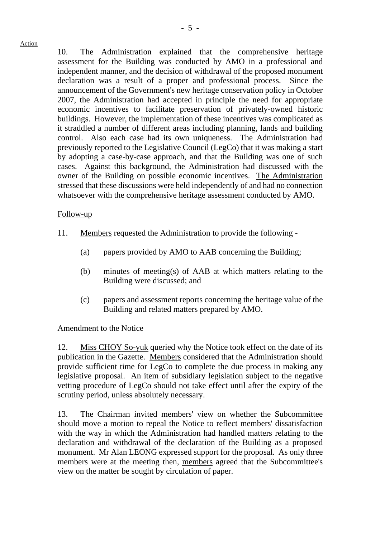10. The Administration explained that the comprehensive heritage assessment for the Building was conducted by AMO in a professional and independent manner, and the decision of withdrawal of the proposed monument declaration was a result of a proper and professional process. Since the announcement of the Government's new heritage conservation policy in October 2007, the Administration had accepted in principle the need for appropriate economic incentives to facilitate preservation of privately-owned historic buildings. However, the implementation of these incentives was complicated as it straddled a number of different areas including planning, lands and building control. Also each case had its own uniqueness. The Administration had previously reported to the Legislative Council (LegCo) that it was making a start by adopting a case-by-case approach, and that the Building was one of such cases. Against this background, the Administration had discussed with the owner of the Building on possible economic incentives. The Administration stressed that these discussions were held independently of and had no connection whatsoever with the comprehensive heritage assessment conducted by AMO.

#### Follow-up

- 11. Members requested the Administration to provide the following
	- (a) papers provided by AMO to AAB concerning the Building;
	- (b) minutes of meeting(s) of AAB at which matters relating to the Building were discussed; and
	- (c) papers and assessment reports concerning the heritage value of the Building and related matters prepared by AMO.

#### Amendment to the Notice

12. Miss CHOY So-yuk queried why the Notice took effect on the date of its publication in the Gazette. Members considered that the Administration should provide sufficient time for LegCo to complete the due process in making any legislative proposal. An item of subsidiary legislation subject to the negative vetting procedure of LegCo should not take effect until after the expiry of the scrutiny period, unless absolutely necessary.

13. The Chairman invited members' view on whether the Subcommittee should move a motion to repeal the Notice to reflect members' dissatisfaction with the way in which the Administration had handled matters relating to the declaration and withdrawal of the declaration of the Building as a proposed monument. Mr Alan LEONG expressed support for the proposal. As only three members were at the meeting then, members agreed that the Subcommittee's view on the matter be sought by circulation of paper.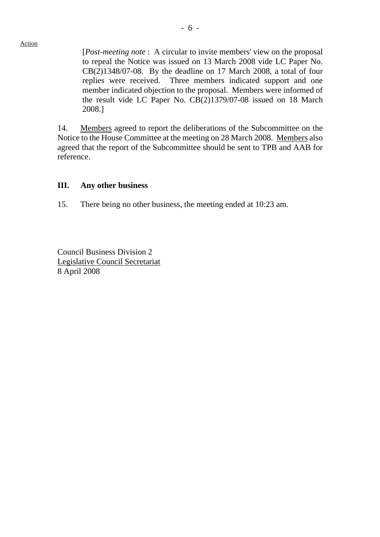- 6 -

[*Post-meeting note* : A circular to invite members' view on the proposal to repeal the Notice was issued on 13 March 2008 vide LC Paper No. CB(2)1348/07-08. By the deadline on 17 March 2008, a total of four replies were received. Three members indicated support and one member indicated objection to the proposal. Members were informed of the result vide LC Paper No. CB(2)1379/07-08 issued on 18 March 2008.]

14. Members agreed to report the deliberations of the Subcommittee on the Notice to the House Committee at the meeting on 28 March 2008. Members also agreed that the report of the Subcommittee should be sent to TPB and AAB for reference.

#### **III. Any other business**

15. There being no other business, the meeting ended at 10:23 am.

Council Business Division 2 Legislative Council Secretariat 8 April 2008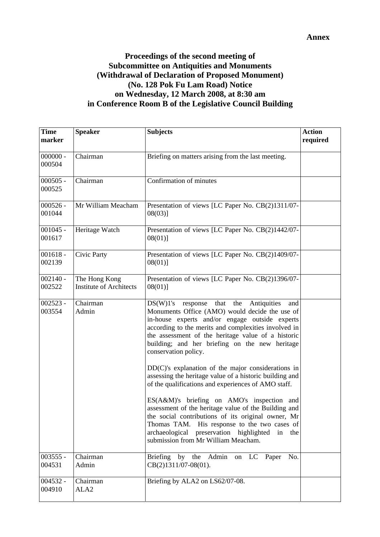#### **Annex**

# **Proceedings of the second meeting of Subcommittee on Antiquities and Monuments (Withdrawal of Declaration of Proposed Monument) (No. 128 Pok Fu Lam Road) Notice on Wednesday, 12 March 2008, at 8:30 am in Conference Room B of the Legislative Council Building**

| <b>Time</b><br>marker | <b>Speaker</b>                                  | <b>Subjects</b>                                                                                                                                                                                                                                                                                                                                 | <b>Action</b><br>required |
|-----------------------|-------------------------------------------------|-------------------------------------------------------------------------------------------------------------------------------------------------------------------------------------------------------------------------------------------------------------------------------------------------------------------------------------------------|---------------------------|
| $000000 -$<br>000504  | Chairman                                        | Briefing on matters arising from the last meeting.                                                                                                                                                                                                                                                                                              |                           |
| $000505 -$<br>000525  | Chairman                                        | Confirmation of minutes                                                                                                                                                                                                                                                                                                                         |                           |
| $000526 -$<br>001044  | Mr William Meacham                              | Presentation of views [LC Paper No. CB(2)1311/07-<br>08(03)]                                                                                                                                                                                                                                                                                    |                           |
| $001045 -$<br>001617  | Heritage Watch                                  | Presentation of views [LC Paper No. CB(2)1442/07-<br>08(01)]                                                                                                                                                                                                                                                                                    |                           |
| $001618 -$<br>002139  | Civic Party                                     | Presentation of views [LC Paper No. CB(2)1409/07-<br>$08(01)$ ]                                                                                                                                                                                                                                                                                 |                           |
| $002140 -$<br>002522  | The Hong Kong<br><b>Institute of Architects</b> | Presentation of views [LC Paper No. CB(2)1396/07-<br>$08(01)$ ]                                                                                                                                                                                                                                                                                 |                           |
| $002523 -$<br>003554  | Chairman<br>Admin                               | DS(W)1's<br>response that the<br>Antiquities<br>and<br>Monuments Office (AMO) would decide the use of<br>in-house experts and/or engage outside experts<br>according to the merits and complexities involved in<br>the assessment of the heritage value of a historic<br>building; and her briefing on the new heritage<br>conservation policy. |                           |
|                       |                                                 | $DD(C)$ 's explanation of the major considerations in<br>assessing the heritage value of a historic building and<br>of the qualifications and experiences of AMO staff.                                                                                                                                                                         |                           |
|                       |                                                 | ES(A&M)'s briefing on AMO's inspection and<br>assessment of the heritage value of the Building and<br>the social contributions of its original owner, Mr<br>Thomas TAM. His response to the two cases of<br>archaeological preservation highlighted in the<br>submission from Mr William Meacham.                                               |                           |
| $003555 -$<br>004531  | Chairman<br>Admin                               | Briefing by the Admin<br>No.<br>on LC Paper<br>$CB(2)1311/07-08(01)$ .                                                                                                                                                                                                                                                                          |                           |
| 004532 -<br>004910    | Chairman<br>ALA <sub>2</sub>                    | Briefing by ALA2 on LS62/07-08.                                                                                                                                                                                                                                                                                                                 |                           |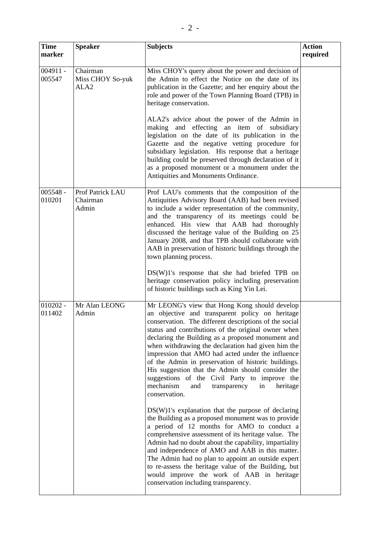| <b>Time</b><br>marker | <b>Speaker</b>                                   | <b>Subjects</b>                                                                                                                                                                                                                                                                                                                                                                                                                                                                                                                                                                                                       | <b>Action</b><br>required |
|-----------------------|--------------------------------------------------|-----------------------------------------------------------------------------------------------------------------------------------------------------------------------------------------------------------------------------------------------------------------------------------------------------------------------------------------------------------------------------------------------------------------------------------------------------------------------------------------------------------------------------------------------------------------------------------------------------------------------|---------------------------|
| $004911 -$<br>005547  | Chairman<br>Miss CHOY So-yuk<br>ALA <sub>2</sub> | Miss CHOY's query about the power and decision of<br>the Admin to effect the Notice on the date of its<br>publication in the Gazette; and her enquiry about the<br>role and power of the Town Planning Board (TPB) in<br>heritage conservation.                                                                                                                                                                                                                                                                                                                                                                       |                           |
|                       |                                                  | ALA2's advice about the power of the Admin in<br>making and effecting an item of subsidiary<br>legislation on the date of its publication in the<br>Gazette and the negative vetting procedure for<br>subsidiary legislation. His response that a heritage<br>building could be preserved through declaration of it<br>as a proposed monument or a monument under the<br>Antiquities and Monuments Ordinance.                                                                                                                                                                                                         |                           |
| $005548 -$<br>010201  | Prof Patrick LAU<br>Chairman<br>Admin            | Prof LAU's comments that the composition of the<br>Antiquities Advisory Board (AAB) had been revised<br>to include a wider representation of the community,<br>and the transparency of its meetings could be<br>enhanced. His view that AAB had thoroughly<br>discussed the heritage value of the Building on 25<br>January 2008, and that TPB should collaborate with<br>AAB in preservation of historic buildings through the<br>town planning process.                                                                                                                                                             |                           |
|                       |                                                  | $DS(W)1$ 's response that she had briefed TPB on<br>heritage conservation policy including preservation<br>of historic buildings such as King Yin Lei.                                                                                                                                                                                                                                                                                                                                                                                                                                                                |                           |
| $010202 -$<br>011402  | Mr Alan LEONG<br>Admin                           | Mr LEONG's view that Hong Kong should develop<br>an objective and transparent policy on heritage<br>conservation. The different descriptions of the social<br>status and contributions of the original owner when<br>declaring the Building as a proposed monument and<br>when withdrawing the declaration had given him the<br>impression that AMO had acted under the influence<br>of the Admin in preservation of historic buildings.<br>His suggestion that the Admin should consider the<br>suggestions of the Civil Party to improve the<br>mechanism<br>and<br>transparency<br>in<br>heritage<br>conservation. |                           |
|                       |                                                  | $DS(W)1$ 's explanation that the purpose of declaring<br>the Building as a proposed monument was to provide<br>a period of 12 months for AMO to conduct a<br>comprehensive assessment of its heritage value. The<br>Admin had no doubt about the capability, impartiality<br>and independence of AMO and AAB in this matter.<br>The Admin had no plan to appoint an outside expert<br>to re-assess the heritage value of the Building, but<br>would improve the work of AAB in heritage<br>conservation including transparency.                                                                                       |                           |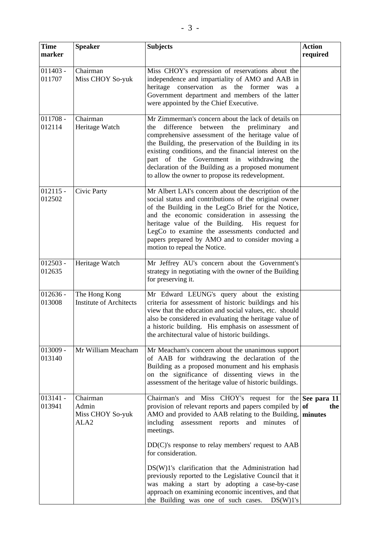| <b>Time</b><br>marker | <b>Speaker</b>                                            | <b>Subjects</b>                                                                                                                                                                                                                                                                                                                                                                                                                        | <b>Action</b><br>required |
|-----------------------|-----------------------------------------------------------|----------------------------------------------------------------------------------------------------------------------------------------------------------------------------------------------------------------------------------------------------------------------------------------------------------------------------------------------------------------------------------------------------------------------------------------|---------------------------|
| $011403 -$<br>011707  | Chairman<br>Miss CHOY So-yuk                              | Miss CHOY's expression of reservations about the<br>independence and impartiality of AMO and AAB in<br>heritage conservation as the former<br>was<br>a<br>Government department and members of the latter<br>were appointed by the Chief Executive.                                                                                                                                                                                    |                           |
| $011708 -$<br>012114  | Chairman<br>Heritage Watch                                | Mr Zimmerman's concern about the lack of details on<br>difference between the preliminary<br>the<br>and<br>comprehensive assessment of the heritage value of<br>the Building, the preservation of the Building in its<br>existing conditions, and the financial interest on the<br>part of the Government in withdrawing the<br>declaration of the Building as a proposed monument<br>to allow the owner to propose its redevelopment. |                           |
| $012115 -$<br>012502  | Civic Party                                               | Mr Albert LAI's concern about the description of the<br>social status and contributions of the original owner<br>of the Building in the LegCo Brief for the Notice,<br>and the economic consideration in assessing the<br>heritage value of the Building.<br>His request for<br>LegCo to examine the assessments conducted and<br>papers prepared by AMO and to consider moving a<br>motion to repeal the Notice.                      |                           |
| $012503 -$<br>012635  | Heritage Watch                                            | Mr Jeffrey AU's concern about the Government's<br>strategy in negotiating with the owner of the Building<br>for preserving it.                                                                                                                                                                                                                                                                                                         |                           |
| $012636 -$<br>013008  | The Hong Kong<br><b>Institute of Architects</b>           | Mr Edward LEUNG's query about the existing<br>criteria for assessment of historic buildings and his<br>view that the education and social values, etc. should<br>also be considered in evaluating the heritage value of<br>a historic building. His emphasis on assessment of<br>the architectural value of historic buildings.                                                                                                        |                           |
| $013009 -$<br>013140  | Mr William Meacham                                        | Mr Meacham's concern about the unanimous support<br>of AAB for withdrawing the declaration of the<br>Building as a proposed monument and his emphasis<br>on the significance of dissenting views in the<br>assessment of the heritage value of historic buildings.                                                                                                                                                                     |                           |
| $013141 -$<br>013941  | Chairman<br>Admin<br>Miss CHOY So-yuk<br>ALA <sub>2</sub> | Chairman's and Miss CHOY's request for the See para 11<br>provision of relevant reports and papers compiled by $of$<br>AMO and provided to AAB relating to the Building, minutes<br>including<br>assessment reports and<br>minutes<br>of<br>meetings.                                                                                                                                                                                  | the                       |
|                       |                                                           | $DD(C)$ 's response to relay members' request to $AAB$<br>for consideration.<br>DS(W)1's clarification that the Administration had<br>previously reported to the Legislative Council that it<br>was making a start by adopting a case-by-case<br>approach on examining economic incentives, and that<br>the Building was one of such cases.<br>DS(W)1's                                                                                |                           |